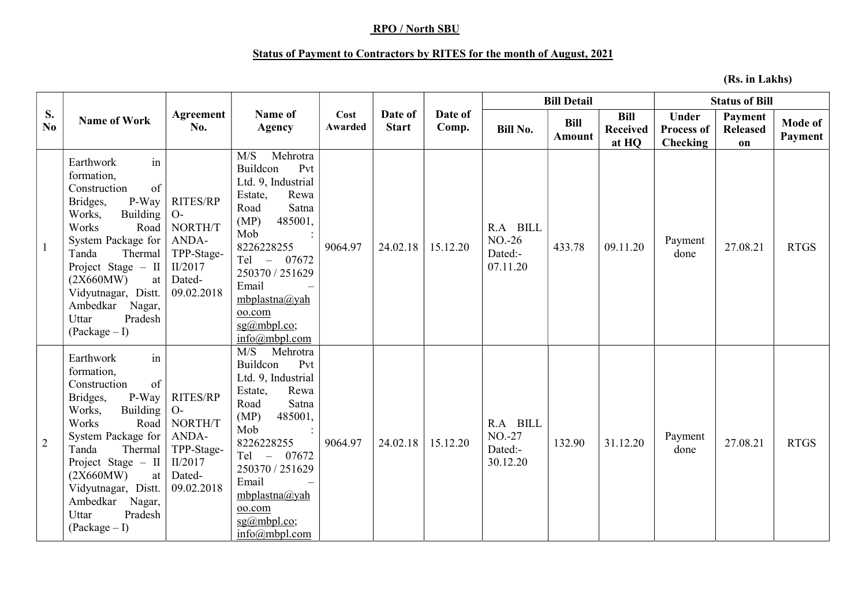## RPO / North SBU

## Status of Payment to Contractors by RITES for the month of August, 2021

(Rs. in Lakhs)

|                | <b>Name of Work</b>                                                                                                                                                                                                                                                                      |                                                                                              |                                                                                                                                                                                                                                                                    |                 |                         |                  |                                            | <b>Bill Detail</b>    |                                         | <b>Status of Bill</b>                         |                                  |                    |
|----------------|------------------------------------------------------------------------------------------------------------------------------------------------------------------------------------------------------------------------------------------------------------------------------------------|----------------------------------------------------------------------------------------------|--------------------------------------------------------------------------------------------------------------------------------------------------------------------------------------------------------------------------------------------------------------------|-----------------|-------------------------|------------------|--------------------------------------------|-----------------------|-----------------------------------------|-----------------------------------------------|----------------------------------|--------------------|
| S.<br>No.      |                                                                                                                                                                                                                                                                                          | Agreement<br>No.                                                                             | Name of<br><b>Agency</b>                                                                                                                                                                                                                                           | Cost<br>Awarded | Date of<br><b>Start</b> | Date of<br>Comp. | <b>Bill No.</b>                            | <b>Bill</b><br>Amount | <b>Bill</b><br><b>Received</b><br>at HQ | <b>Under</b><br><b>Process of</b><br>Checking | Payment<br><b>Released</b><br>on | Mode of<br>Payment |
| -1             | Earthwork<br>in<br>formation,<br>of<br>Construction<br>P-Way<br>Bridges,<br>Building<br>Works,<br>Works<br>Road<br>System Package for<br>Tanda<br>Thermal<br>Project Stage $-$ II<br>(2X660MW)<br>at<br>Vidyutnagar, Distt.<br>Ambedkar<br>Nagar,<br>Pradesh<br>Uttar<br>$(Package - I)$ | RITES/RP<br>$O-$<br>NORTH/T<br>ANDA-<br>TPP-Stage-<br>II/2017<br>Dated-<br>09.02.2018        | M/S<br>Mehrotra<br>Buildcon<br>Pvt<br>Ltd. 9, Industrial<br>Estate,<br>Rewa<br>Satna<br>Road<br>(MP)<br>485001,<br>Mob<br>8226228255<br>Tel - 07672<br>250370 / 251629<br>Email<br>mbplastna@yah<br>oo.com<br>$sg(\omega)$ mbpl.co;<br>$info(\widehat{a}$ mbpl.com | 9064.97         | 24.02.18                | 15.12.20         | R.A BILL<br>$NO-26$<br>Dated:-<br>07.11.20 | 433.78                | 09.11.20                                | Payment<br>done                               | 27.08.21                         | <b>RTGS</b>        |
| $\overline{2}$ | in<br>Earthwork<br>formation,<br>Construction<br>of<br>P-Way<br>Bridges,<br>Works,<br>Building<br>Works<br>Road<br>System Package for<br>Thermal<br>Tanda<br>Project Stage $-$ II<br>(2X660MW)<br>at<br>Vidyutnagar, Distt.<br>Ambedkar<br>Nagar,<br>Uttar<br>Pradesh<br>$(Package-I)$   | <b>RITES/RP</b><br>$O-$<br>NORTH/T<br>ANDA-<br>TPP-Stage-<br>II/2017<br>Dated-<br>09.02.2018 | Mehrotra<br>M/S<br>Buildcon<br>Pvt<br>Ltd. 9, Industrial<br>Rewa<br>Estate,<br>Satna<br>Road<br>(MP)<br>485001,<br>Mob<br>8226228255<br>$Tel -$<br>07672<br>250370 / 251629<br>Email<br>mbplastna@yah<br>oo.com<br>$sg(a)$ mbpl.co;<br>$info(\omega)$ mbpl.com     | 9064.97         | 24.02.18                | 15.12.20         | R.A BILL<br>$NO-27$<br>Dated:-<br>30.12.20 | 132.90                | 31.12.20                                | Payment<br>done                               | 27.08.21                         | <b>RTGS</b>        |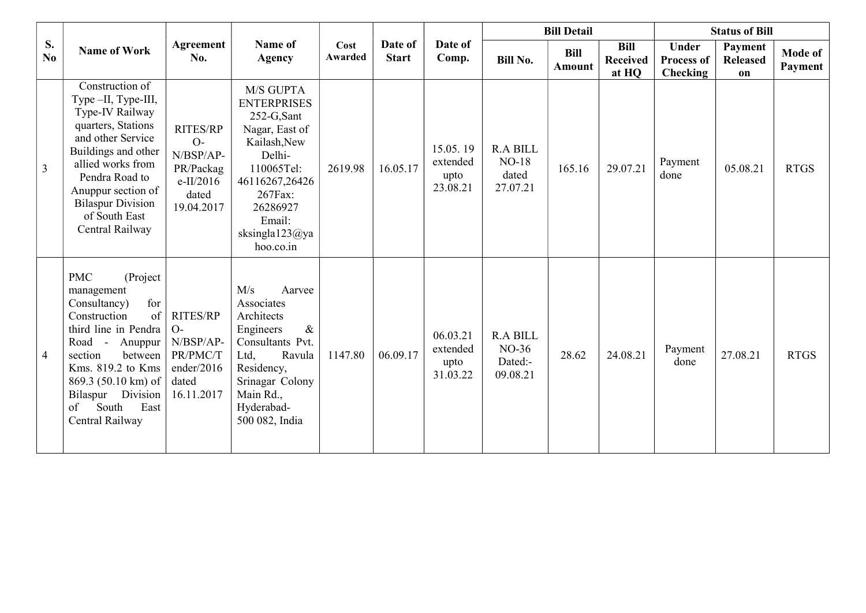|                | <b>Name of Work</b>                                                                                                                                                                                                                                          |                                                                                       |                                                                                                                                                                                              |                 |                         |                                          |                                                   | <b>Bill Detail</b>           |                                         | <b>Status of Bill</b>                  |                                  |                    |
|----------------|--------------------------------------------------------------------------------------------------------------------------------------------------------------------------------------------------------------------------------------------------------------|---------------------------------------------------------------------------------------|----------------------------------------------------------------------------------------------------------------------------------------------------------------------------------------------|-----------------|-------------------------|------------------------------------------|---------------------------------------------------|------------------------------|-----------------------------------------|----------------------------------------|----------------------------------|--------------------|
| S.<br>No       |                                                                                                                                                                                                                                                              | Agreement<br>No.                                                                      | Name of<br><b>Agency</b>                                                                                                                                                                     | Cost<br>Awarded | Date of<br><b>Start</b> | Date of<br>Comp.                         | <b>Bill No.</b>                                   | <b>Bill</b><br><b>Amount</b> | <b>Bill</b><br><b>Received</b><br>at HQ | Under<br><b>Process of</b><br>Checking | Payment<br><b>Released</b><br>on | Mode of<br>Payment |
| 3              | Construction of<br>Type-II, Type-III,<br>Type-IV Railway<br>quarters, Stations<br>and other Service<br>Buildings and other<br>allied works from<br>Pendra Road to<br>Anuppur section of<br><b>Bilaspur Division</b><br>of South East<br>Central Railway      | <b>RITES/RP</b><br>$O-$<br>N/BSP/AP-<br>PR/Packag<br>e-II/2016<br>dated<br>19.04.2017 | M/S GUPTA<br><b>ENTERPRISES</b><br>252-G,Sant<br>Nagar, East of<br>Kailash, New<br>Delhi-<br>110065Tel:<br>46116267,26426<br>267Fax:<br>26286927<br>Email:<br>sksingla $123@ya$<br>hoo.co.in | 2619.98         | 16.05.17                | 15.05.19<br>extended<br>upto<br>23.08.21 | <b>R.A BILL</b><br>$NO-18$<br>dated<br>27.07.21   | 165.16                       | 29.07.21                                | Payment<br>done                        | 05.08.21                         | <b>RTGS</b>        |
| $\overline{4}$ | (Project<br><b>PMC</b><br>management<br>for<br>Consultancy)<br>of<br>Construction<br>third line in Pendra<br>Road - Anuppur<br>section<br>between<br>Kms. 819.2 to Kms<br>869.3 (50.10 km) of<br>Bilaspur Division<br>South<br>East<br>of<br>Central Railway | <b>RITES/RP</b><br>$O-$<br>N/BSP/AP-<br>PR/PMC/T<br>ender/2016<br>dated<br>16.11.2017 | M/s<br>Aarvee<br>Associates<br>Architects<br>Engineers<br>$\&$<br>Consultants Pvt.<br>Ltd,<br>Ravula<br>Residency,<br>Srinagar Colony<br>Main Rd.,<br>Hyderabad-<br>500 082, India           | 1147.80         | 06.09.17                | 06.03.21<br>extended<br>upto<br>31.03.22 | <b>R.A BILL</b><br>$NO-36$<br>Dated:-<br>09.08.21 | 28.62                        | 24.08.21                                | Payment<br>done                        | 27.08.21                         | <b>RTGS</b>        |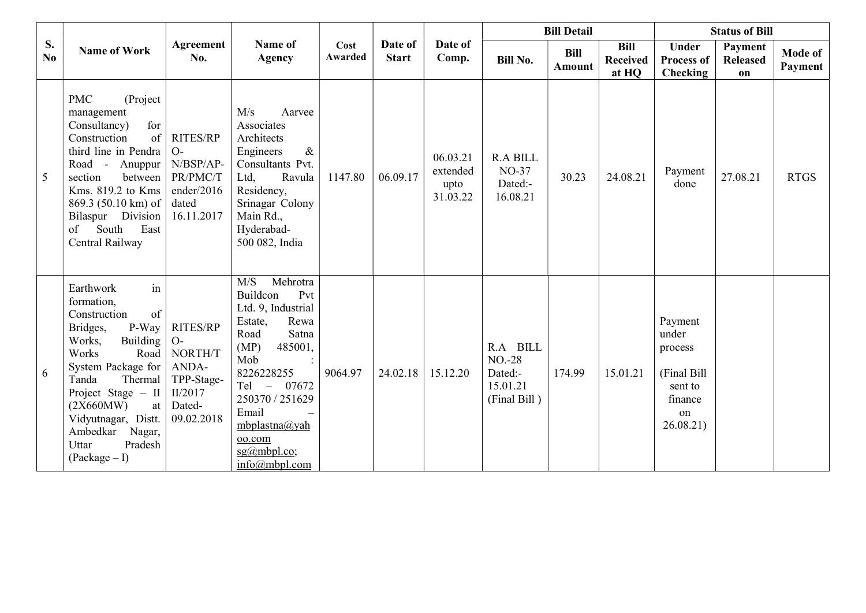| S.<br>No. | <b>Name of Work</b>                                                                                                                                                                                                                                                                  |                                                                                              |                                                                                                                                                                                                                                                           |                 |                         |                                          |                                                            | <b>Bill Detail</b>    |                                         |                                                                                     | <b>Status of Bill</b>            |                           |
|-----------|--------------------------------------------------------------------------------------------------------------------------------------------------------------------------------------------------------------------------------------------------------------------------------------|----------------------------------------------------------------------------------------------|-----------------------------------------------------------------------------------------------------------------------------------------------------------------------------------------------------------------------------------------------------------|-----------------|-------------------------|------------------------------------------|------------------------------------------------------------|-----------------------|-----------------------------------------|-------------------------------------------------------------------------------------|----------------------------------|---------------------------|
|           |                                                                                                                                                                                                                                                                                      | Agreement<br>No.                                                                             | Name of<br><b>Agency</b>                                                                                                                                                                                                                                  | Cost<br>Awarded | Date of<br><b>Start</b> | Date of<br>Comp.                         | <b>Bill No.</b>                                            | <b>Bill</b><br>Amount | <b>Bill</b><br><b>Received</b><br>at HQ | <b>Under</b><br><b>Process of</b><br>Checking                                       | Payment<br><b>Released</b><br>on | <b>Mode of</b><br>Payment |
| 5         | <b>PMC</b><br>(Project)<br>management<br>for<br>Consultancy)<br>of<br>Construction<br>third line in Pendra<br>Road - Anuppur<br>section<br>between<br>Kms. 819.2 to Kms<br>869.3 (50.10 km) of<br>Bilaspur Division<br>of<br>South<br>East<br>Central Railway                        | <b>RITES/RP</b><br>$O-$<br>N/BSP/AP-<br>PR/PMC/T<br>ender/2016<br>dated<br>16.11.2017        | M/s<br>Aarvee<br>Associates<br>Architects<br>Engineers<br>$\&$<br>Consultants Pvt.<br>Ltd,<br>Ravula<br>Residency,<br>Srinagar Colony<br>Main Rd.,<br>Hyderabad-<br>500 082, India                                                                        | 1147.80         | 06.09.17                | 06.03.21<br>extended<br>upto<br>31.03.22 | <b>R.A BILL</b><br><b>NO-37</b><br>Dated:-<br>16.08.21     | 30.23                 | 24.08.21                                | Payment<br>done                                                                     | 27.08.21                         | <b>RTGS</b>               |
| 6         | in<br>Earthwork<br>formation,<br>of<br>Construction<br>P-Way<br>Bridges,<br>Building<br>Works,<br>Works<br>Road<br>System Package for<br>Thermal<br>Tanda<br>Project Stage - II<br>(2X660MW)<br>at<br>Vidyutnagar, Distt.<br>Ambedkar<br>Nagar,<br>Uttar<br>Pradesh<br>$(Package-I)$ | <b>RITES/RP</b><br>$O-$<br>NORTH/T<br>ANDA-<br>TPP-Stage-<br>II/2017<br>Dated-<br>09.02.2018 | Mehrotra<br>M/S<br>Buildcon<br>Pvt<br>Ltd. 9, Industrial<br>Rewa<br>Estate,<br>Satna<br>Road<br>(MP)<br>485001,<br>Mob<br>8226228255<br>Tel - 07672<br>250370 / 251629<br>Email<br>mbplastna@yah<br>oo.com<br>$sg(a)$ mbpl.co;<br>$info(\omega)$ mbpl.com | 9064.97         | 24.02.18                | 15.12.20                                 | R.A BILL<br>$NO-28$<br>Dated:-<br>15.01.21<br>(Final Bill) | 174.99                | 15.01.21                                | Payment<br>under<br>process<br>(Final Bill<br>sent to<br>finance<br>on<br>26.08.21) |                                  |                           |